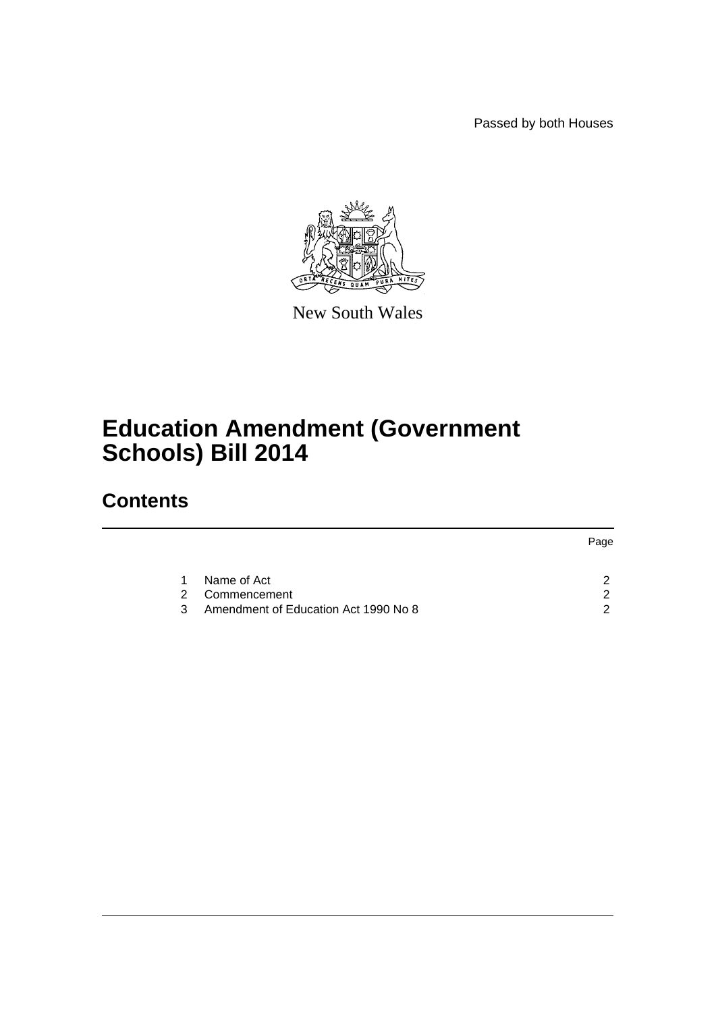Passed by both Houses



New South Wales

# **Education Amendment (Government Schools) Bill 2014**

## **Contents**

|               |                                      | Page |
|---------------|--------------------------------------|------|
|               |                                      |      |
| 1.            | Name of Act                          |      |
| $\mathcal{P}$ | Commencement                         |      |
| 3             | Amendment of Education Act 1990 No 8 | ◠    |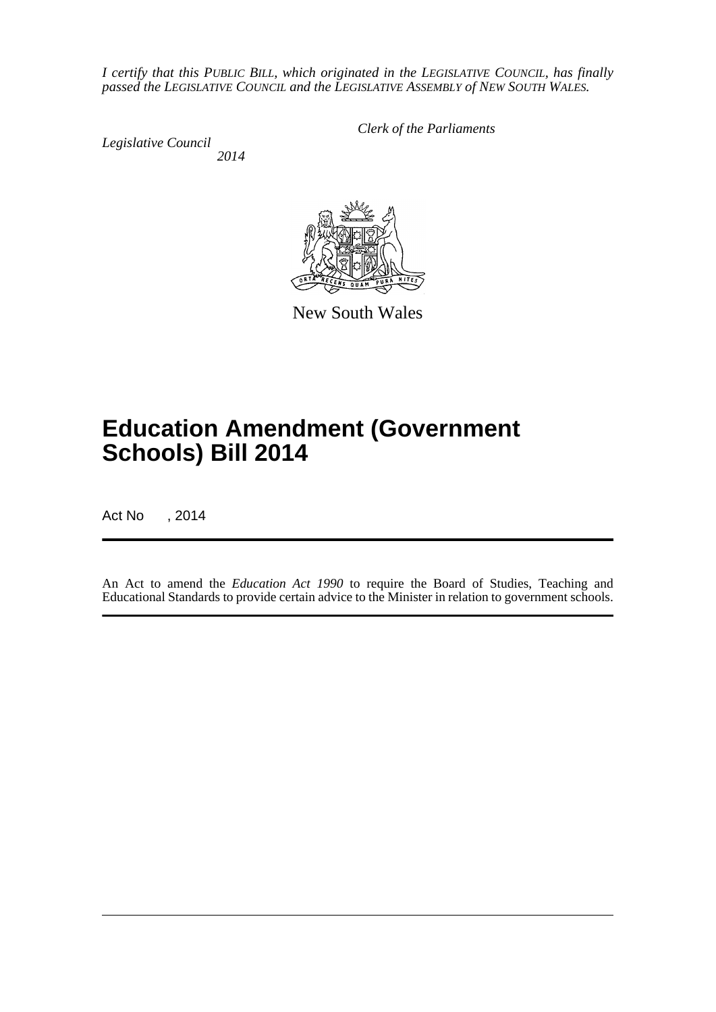*I certify that this PUBLIC BILL, which originated in the LEGISLATIVE COUNCIL, has finally passed the LEGISLATIVE COUNCIL and the LEGISLATIVE ASSEMBLY of NEW SOUTH WALES.*

*Legislative Council 2014* *Clerk of the Parliaments*



New South Wales

# **Education Amendment (Government Schools) Bill 2014**

Act No , 2014

An Act to amend the *Education Act 1990* to require the Board of Studies, Teaching and Educational Standards to provide certain advice to the Minister in relation to government schools.